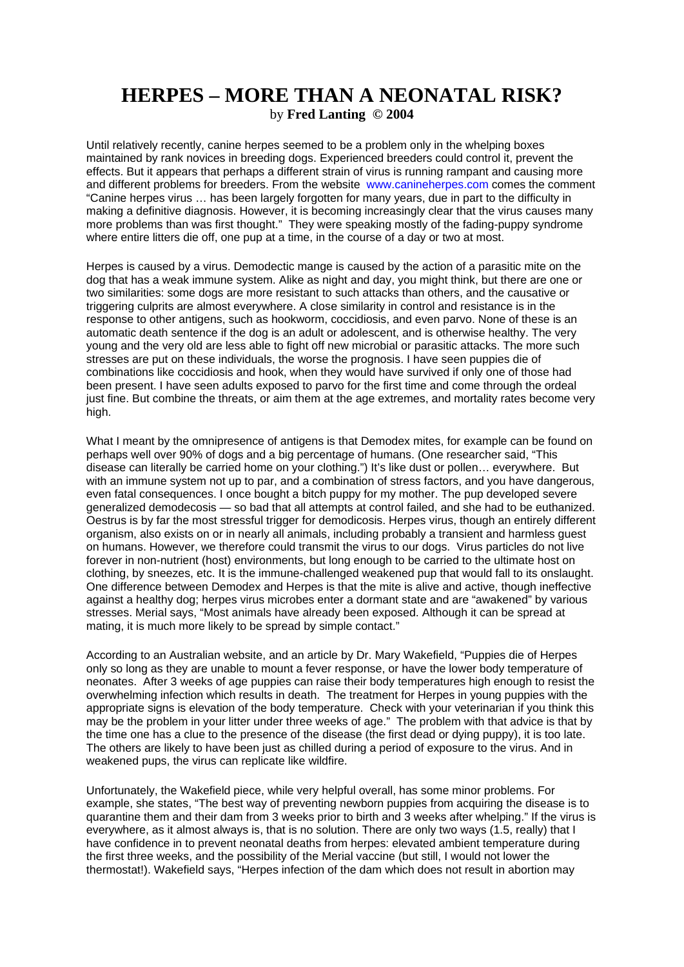## **HERPES – MORE THAN A NEONATAL RISK?**  by **Fred Lanting © 2004**

Until relatively recently, canine herpes seemed to be a problem only in the whelping boxes maintained by rank novices in breeding dogs. Experienced breeders could control it, prevent the effects. But it appears that perhaps a different strain of virus is running rampant and causing more and different problems for breeders. From the website www.canineherpes.com comes the comment "Canine herpes virus … has been largely forgotten for many years, due in part to the difficulty in making a definitive diagnosis. However, it is becoming increasingly clear that the virus causes many more problems than was first thought." They were speaking mostly of the fading-puppy syndrome where entire litters die off, one pup at a time, in the course of a day or two at most.

Herpes is caused by a virus. Demodectic mange is caused by the action of a parasitic mite on the dog that has a weak immune system. Alike as night and day, you might think, but there are one or two similarities: some dogs are more resistant to such attacks than others, and the causative or triggering culprits are almost everywhere. A close similarity in control and resistance is in the response to other antigens, such as hookworm, coccidiosis, and even parvo. None of these is an automatic death sentence if the dog is an adult or adolescent, and is otherwise healthy. The very young and the very old are less able to fight off new microbial or parasitic attacks. The more such stresses are put on these individuals, the worse the prognosis. I have seen puppies die of combinations like coccidiosis and hook, when they would have survived if only one of those had been present. I have seen adults exposed to parvo for the first time and come through the ordeal just fine. But combine the threats, or aim them at the age extremes, and mortality rates become very high.

What I meant by the omnipresence of antigens is that Demodex mites, for example can be found on perhaps well over 90% of dogs and a big percentage of humans. (One researcher said, "This disease can literally be carried home on your clothing.") It's like dust or pollen… everywhere. But with an immune system not up to par, and a combination of stress factors, and you have dangerous, even fatal consequences. I once bought a bitch puppy for my mother. The pup developed severe generalized demodecosis — so bad that all attempts at control failed, and she had to be euthanized. Oestrus is by far the most stressful trigger for demodicosis. Herpes virus, though an entirely different organism, also exists on or in nearly all animals, including probably a transient and harmless guest on humans. However, we therefore could transmit the virus to our dogs. Virus particles do not live forever in non-nutrient (host) environments, but long enough to be carried to the ultimate host on clothing, by sneezes, etc. It is the immune-challenged weakened pup that would fall to its onslaught. One difference between Demodex and Herpes is that the mite is alive and active, though ineffective against a healthy dog; herpes virus microbes enter a dormant state and are "awakened" by various stresses. Merial says, "Most animals have already been exposed. Although it can be spread at mating, it is much more likely to be spread by simple contact."

According to an Australian website, and an article by Dr. Mary Wakefield, "Puppies die of Herpes only so long as they are unable to mount a fever response, or have the lower body temperature of neonates. After 3 weeks of age puppies can raise their body temperatures high enough to resist the overwhelming infection which results in death. The treatment for Herpes in young puppies with the appropriate signs is elevation of the body temperature. Check with your veterinarian if you think this may be the problem in your litter under three weeks of age." The problem with that advice is that by the time one has a clue to the presence of the disease (the first dead or dying puppy), it is too late. The others are likely to have been just as chilled during a period of exposure to the virus. And in weakened pups, the virus can replicate like wildfire.

Unfortunately, the Wakefield piece, while very helpful overall, has some minor problems. For example, she states, "The best way of preventing newborn puppies from acquiring the disease is to quarantine them and their dam from 3 weeks prior to birth and 3 weeks after whelping." If the virus is everywhere, as it almost always is, that is no solution. There are only two ways (1.5, really) that I have confidence in to prevent neonatal deaths from herpes: elevated ambient temperature during the first three weeks, and the possibility of the Merial vaccine (but still, I would not lower the thermostat!). Wakefield says, "Herpes infection of the dam which does not result in abortion may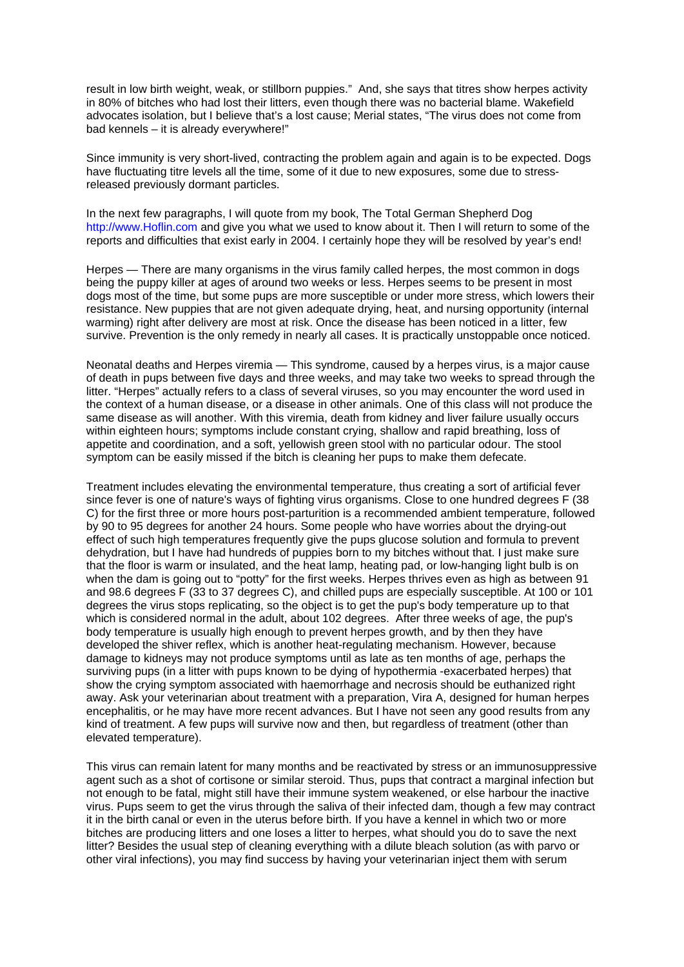result in low birth weight, weak, or stillborn puppies." And, she says that titres show herpes activity in 80% of bitches who had lost their litters, even though there was no bacterial blame. Wakefield advocates isolation, but I believe that's a lost cause; Merial states, "The virus does not come from bad kennels – it is already everywhere!"

Since immunity is very short-lived, contracting the problem again and again is to be expected. Dogs have fluctuating titre levels all the time, some of it due to new exposures, some due to stressreleased previously dormant particles.

In the next few paragraphs, I will quote from my book, The Total German Shepherd Dog http://www.Hoflin.com and give you what we used to know about it. Then I will return to some of the reports and difficulties that exist early in 2004. I certainly hope they will be resolved by year's end!

Herpes — There are many organisms in the virus family called herpes, the most common in dogs being the puppy killer at ages of around two weeks or less. Herpes seems to be present in most dogs most of the time, but some pups are more susceptible or under more stress, which lowers their resistance. New puppies that are not given adequate drying, heat, and nursing opportunity (internal warming) right after delivery are most at risk. Once the disease has been noticed in a litter, few survive. Prevention is the only remedy in nearly all cases. It is practically unstoppable once noticed.

Neonatal deaths and Herpes viremia — This syndrome, caused by a herpes virus, is a major cause of death in pups between five days and three weeks, and may take two weeks to spread through the litter. "Herpes" actually refers to a class of several viruses, so you may encounter the word used in the context of a human disease, or a disease in other animals. One of this class will not produce the same disease as will another. With this viremia, death from kidney and liver failure usually occurs within eighteen hours; symptoms include constant crying, shallow and rapid breathing, loss of appetite and coordination, and a soft, yellowish green stool with no particular odour. The stool symptom can be easily missed if the bitch is cleaning her pups to make them defecate.

Treatment includes elevating the environmental temperature, thus creating a sort of artificial fever since fever is one of nature's ways of fighting virus organisms. Close to one hundred degrees F (38 C) for the first three or more hours post-parturition is a recommended ambient temperature, followed by 90 to 95 degrees for another 24 hours. Some people who have worries about the drying-out effect of such high temperatures frequently give the pups glucose solution and formula to prevent dehydration, but I have had hundreds of puppies born to my bitches without that. I just make sure that the floor is warm or insulated, and the heat lamp, heating pad, or low-hanging light bulb is on when the dam is going out to "potty" for the first weeks. Herpes thrives even as high as between 91 and 98.6 degrees F (33 to 37 degrees C), and chilled pups are especially susceptible. At 100 or 101 degrees the virus stops replicating, so the object is to get the pup's body temperature up to that which is considered normal in the adult, about 102 degrees. After three weeks of age, the pup's body temperature is usually high enough to prevent herpes growth, and by then they have developed the shiver reflex, which is another heat-regulating mechanism. However, because damage to kidneys may not produce symptoms until as late as ten months of age, perhaps the surviving pups (in a litter with pups known to be dying of hypothermia -exacerbated herpes) that show the crying symptom associated with haemorrhage and necrosis should be euthanized right away. Ask your veterinarian about treatment with a preparation, Vira A, designed for human herpes encephalitis, or he may have more recent advances. But I have not seen any good results from any kind of treatment. A few pups will survive now and then, but regardless of treatment (other than elevated temperature).

This virus can remain latent for many months and be reactivated by stress or an immunosuppressive agent such as a shot of cortisone or similar steroid. Thus, pups that contract a marginal infection but not enough to be fatal, might still have their immune system weakened, or else harbour the inactive virus. Pups seem to get the virus through the saliva of their infected dam, though a few may contract it in the birth canal or even in the uterus before birth. If you have a kennel in which two or more bitches are producing litters and one loses a litter to herpes, what should you do to save the next litter? Besides the usual step of cleaning everything with a dilute bleach solution (as with parvo or other viral infections), you may find success by having your veterinarian inject them with serum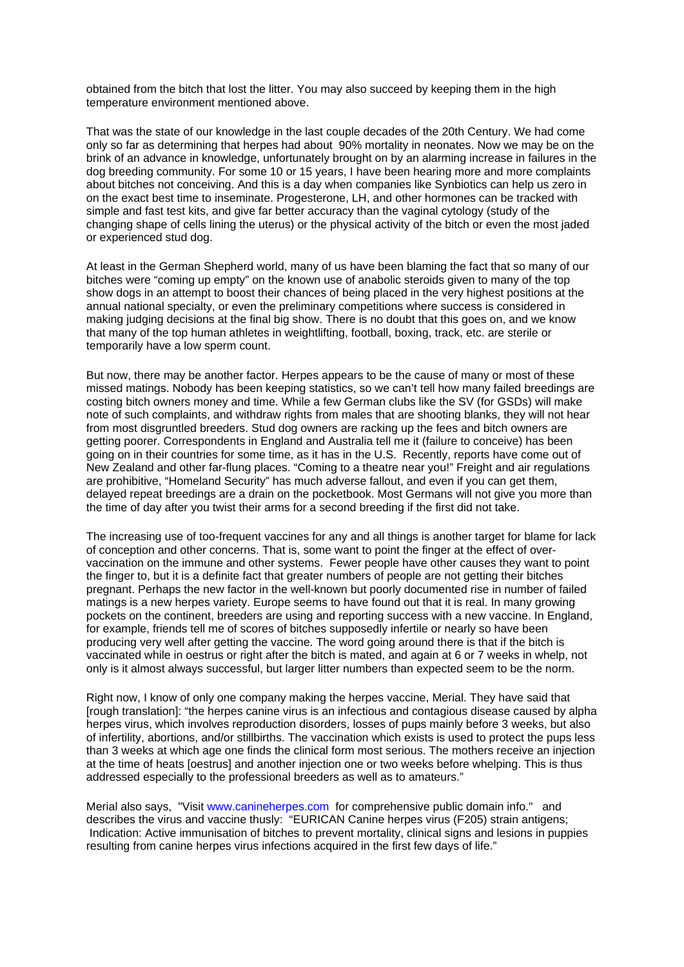obtained from the bitch that lost the litter. You may also succeed by keeping them in the high temperature environment mentioned above.

That was the state of our knowledge in the last couple decades of the 20th Century. We had come only so far as determining that herpes had about 90% mortality in neonates. Now we may be on the brink of an advance in knowledge, unfortunately brought on by an alarming increase in failures in the dog breeding community. For some 10 or 15 years, I have been hearing more and more complaints about bitches not conceiving. And this is a day when companies like Synbiotics can help us zero in on the exact best time to inseminate. Progesterone, LH, and other hormones can be tracked with simple and fast test kits, and give far better accuracy than the vaginal cytology (study of the changing shape of cells lining the uterus) or the physical activity of the bitch or even the most jaded or experienced stud dog.

At least in the German Shepherd world, many of us have been blaming the fact that so many of our bitches were "coming up empty" on the known use of anabolic steroids given to many of the top show dogs in an attempt to boost their chances of being placed in the very highest positions at the annual national specialty, or even the preliminary competitions where success is considered in making judging decisions at the final big show. There is no doubt that this goes on, and we know that many of the top human athletes in weightlifting, football, boxing, track, etc. are sterile or temporarily have a low sperm count.

But now, there may be another factor. Herpes appears to be the cause of many or most of these missed matings. Nobody has been keeping statistics, so we can't tell how many failed breedings are costing bitch owners money and time. While a few German clubs like the SV (for GSDs) will make note of such complaints, and withdraw rights from males that are shooting blanks, they will not hear from most disgruntled breeders. Stud dog owners are racking up the fees and bitch owners are getting poorer. Correspondents in England and Australia tell me it (failure to conceive) has been going on in their countries for some time, as it has in the U.S. Recently, reports have come out of New Zealand and other far-flung places. "Coming to a theatre near you!" Freight and air regulations are prohibitive, "Homeland Security" has much adverse fallout, and even if you can get them, delayed repeat breedings are a drain on the pocketbook. Most Germans will not give you more than the time of day after you twist their arms for a second breeding if the first did not take.

The increasing use of too-frequent vaccines for any and all things is another target for blame for lack of conception and other concerns. That is, some want to point the finger at the effect of overvaccination on the immune and other systems. Fewer people have other causes they want to point the finger to, but it is a definite fact that greater numbers of people are not getting their bitches pregnant. Perhaps the new factor in the well-known but poorly documented rise in number of failed matings is a new herpes variety. Europe seems to have found out that it is real. In many growing pockets on the continent, breeders are using and reporting success with a new vaccine. In England, for example, friends tell me of scores of bitches supposedly infertile or nearly so have been producing very well after getting the vaccine. The word going around there is that if the bitch is vaccinated while in oestrus or right after the bitch is mated, and again at 6 or 7 weeks in whelp, not only is it almost always successful, but larger litter numbers than expected seem to be the norm.

Right now, I know of only one company making the herpes vaccine, Merial. They have said that [rough translation]: "the herpes canine virus is an infectious and contagious disease caused by alpha herpes virus, which involves reproduction disorders, losses of pups mainly before 3 weeks, but also of infertility, abortions, and/or stillbirths. The vaccination which exists is used to protect the pups less than 3 weeks at which age one finds the clinical form most serious. The mothers receive an injection at the time of heats [oestrus] and another injection one or two weeks before whelping. This is thus addressed especially to the professional breeders as well as to amateurs."

Merial also says, "Visit www.canineherpes.com for comprehensive public domain info." and describes the virus and vaccine thusly: "EURICAN Canine herpes virus (F205) strain antigens; Indication: Active immunisation of bitches to prevent mortality, clinical signs and lesions in puppies resulting from canine herpes virus infections acquired in the first few days of life."